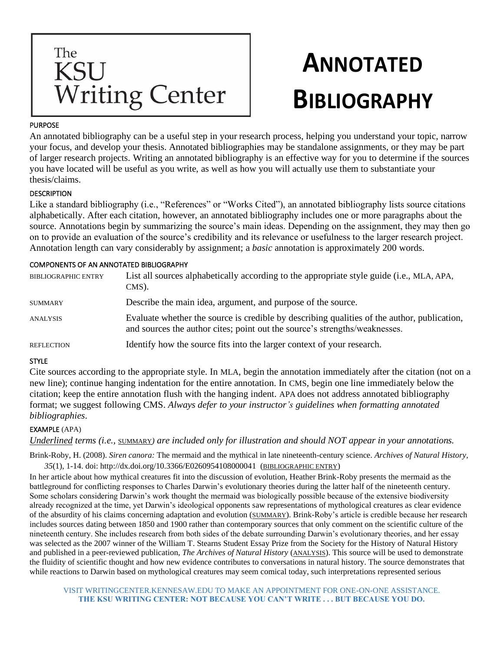

# **ANNOTATED BIBLIOGRAPHY**

#### PURPOSE

An annotated bibliography can be a useful step in your research process, helping you understand your topic, narrow your focus, and develop your thesis. Annotated bibliographies may be standalone assignments, or they may be part of larger research projects. Writing an annotated bibliography is an effective way for you to determine if the sources you have located will be useful as you write, as well as how you will actually use them to substantiate your thesis/claims.

### **DESCRIPTION**

Like a standard bibliography (i.e., "References" or "Works Cited"), an annotated bibliography lists source citations alphabetically. After each citation, however, an annotated bibliography includes one or more paragraphs about the source. Annotations begin by summarizing the source's main ideas. Depending on the assignment, they may then go on to provide an evaluation of the source's credibility and its relevance or usefulness to the larger research project. Annotation length can vary considerably by assignment; a *basic* annotation is approximately 200 words.

### COMPONENTS OF AN ANNOTATED BIBLIOGRAPHY

| <b>BIBLIOGRAPHIC ENTRY</b> | List all sources alphabetically according to the appropriate style guide (i.e., MLA, APA,<br>CMS).                                                                        |
|----------------------------|---------------------------------------------------------------------------------------------------------------------------------------------------------------------------|
| <b>SUMMARY</b>             | Describe the main idea, argument, and purpose of the source.                                                                                                              |
| <b>ANALYSIS</b>            | Evaluate whether the source is credible by describing qualities of the author, publication,<br>and sources the author cites; point out the source's strengths/weaknesses. |
| <b>REFLECTION</b>          | Identify how the source fits into the larger context of your research.                                                                                                    |

#### **STYLE**

Cite sources according to the appropriate style. In MLA, begin the annotation immediately after the citation (not on a new line); continue hanging indentation for the entire annotation. In CMS, begin one line immediately below the citation; keep the entire annotation flush with the hanging indent. APA does not address annotated bibliography format; we suggest following CMS. *Always defer to your instructor's guidelines when formatting annotated bibliographies*.

## EXAMPLE (APA)

*Underlined terms (i.e.,* SUMMARY*) are included only for illustration and should NOT appear in your annotations.*

Brink-Roby, H. (2008). *Siren canora:* The mermaid and the mythical in late nineteenth-century science. *Archives of Natural History, 35*(1), 1-14. doi: http://dx.doi.org/10.3366/E0260954108000041 (BIBLIOGRAPHIC ENTRY)

In her article about how mythical creatures fit into the discussion of evolution, Heather Brink-Roby presents the mermaid as the battleground for conflicting responses to Charles Darwin's evolutionary theories during the latter half of the nineteenth century. Some scholars considering Darwin's work thought the mermaid was biologically possible because of the extensive biodiversity already recognized at the time, yet Darwin's ideological opponents saw representations of mythological creatures as clear evidence of the absurdity of his claims concerning adaptation and evolution (SUMMARY). Brink-Roby's article is credible because her research includes sources dating between 1850 and 1900 rather than contemporary sources that only comment on the scientific culture of the nineteenth century. She includes research from both sides of the debate surrounding Darwin's evolutionary theories, and her essay was selected as the 2007 winner of the William T. Stearns Student Essay Prize from the Society for the History of Natural History and published in a peer-reviewed publication, *The Archives of Natural History* (ANALYSIS). This source will be used to demonstrate the fluidity of scientific thought and how new evidence contributes to conversations in natural history. The source demonstrates that while reactions to Darwin based on mythological creatures may seem comical today, such interpretations represented serious

VISIT WRITINGCENTER.KENNESAW.EDU TO MAKE AN APPOINTMENT FOR ONE-ON-ONE ASSISTANCE. **THE KSU WRITING CENTER: NOT BECAUSE YOU CAN'T WRITE . . . BUT BECAUSE YOU DO.**